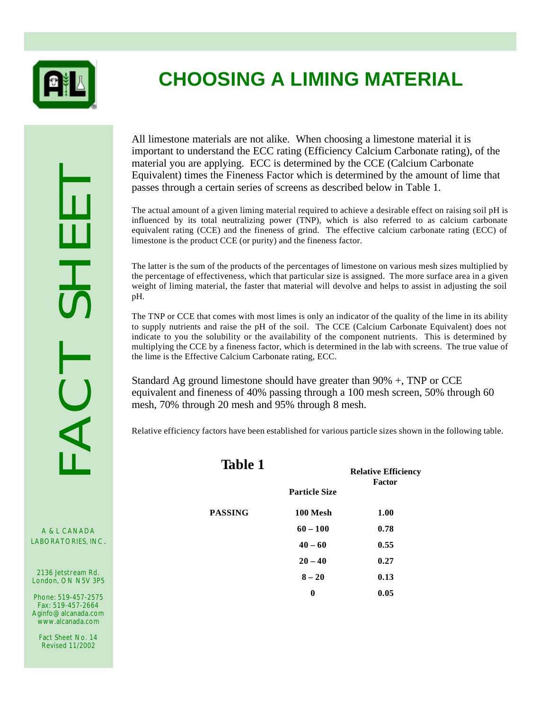

# **CHOOSING A LIMING MATERIAL**

A & L CANADA<br>LABORATORIES, INC.

A & L CANADA

2136 Jetstream Rd. London, ON N5V 3P5

Phone: 519-457-2575 Fax: 519-457-2664 Aginfo@alcanada.com www.alcanada.com

Fact Sheet No. 14 Revised 11/2002

All limestone materials are not alike. When choosing a limestone material it is important to understand the ECC rating (Efficiency Calcium Carbonate rating), of the material you are applying. ECC is determined by the CCE (Calcium Carbonate Equivalent) times the Fineness Factor which is determined by the amount of lime that passes through a certain series of screens as described below in Table 1.

The actual amount of a given liming material required to achieve a desirable effect on raising soil pH is influenced by its total neutralizing power (TNP), which is also referred to as calcium carbonate equivalent rating (CCE) and the fineness of grind. The effective calcium carbonate rating (ECC) of limestone is the product CCE (or purity) and the fineness factor.

The latter is the sum of the products of the percentages of limestone on various mesh sizes multiplied by the percentage of effectiveness, which that particular size is assigned. The more surface area in a given weight of liming material, the faster that material will devolve and helps to assist in adjusting the soil pH.

The TNP or CCE that comes with most limes is only an indicator of the quality of the lime in its ability to supply nutrients and raise the pH of the soil. The CCE (Calcium Carbonate Equivalent) does not indicate to you the solubility or the availability of the component nutrients. This is determined by multiplying the CCE by a fineness factor, which is determined in the lab with screens. The true value of the lime is the Effective Calcium Carbonate rating, ECC.

Standard Ag ground limestone should have greater than 90% +, TNP or CCE equivalent and fineness of 40% passing through a 100 mesh screen, 50% through 60 mesh, 70% through 20 mesh and 95% through 8 mesh.

Relative efficiency factors have been established for various particle sizes shown in the following table.

| <b>Table 1</b> |                      | <b>Relative Efficiency</b><br><b>Factor</b> |
|----------------|----------------------|---------------------------------------------|
|                | <b>Particle Size</b> |                                             |
| PASSING        | 100 Mesh             | 1.00                                        |
|                | $60 - 100$           | 0.78                                        |
|                | $40 - 60$            | 0.55                                        |
|                | $20 - 40$            | 0.27                                        |
|                | $8 - 20$             | 0.13                                        |
|                | 0                    | 0.05                                        |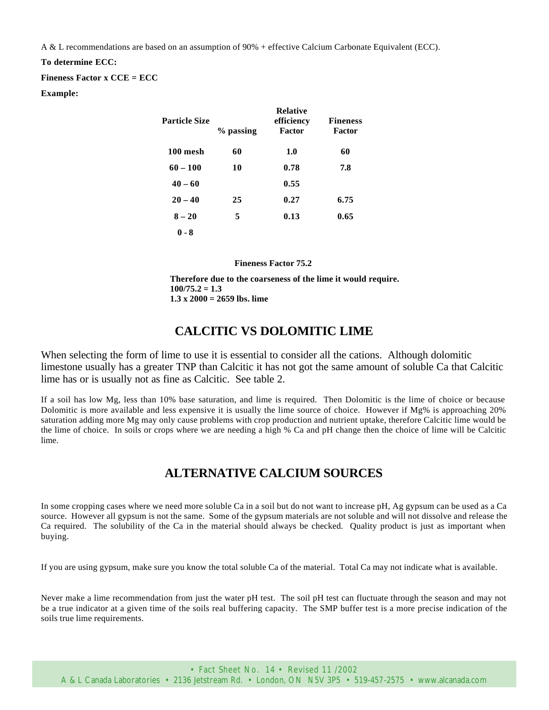A & L recommendations are based on an assumption of 90% + effective Calcium Carbonate Equivalent (ECC).

#### **To determine ECC:**

**Fineness Factor x CCE = ECC**

#### **Example:**

| Particle Size | % passing | <b>Relative</b><br>efficiency<br><b>Factor</b> | <b>Fineness</b><br>Factor |
|---------------|-----------|------------------------------------------------|---------------------------|
| 100 mesh      | 60        | 1.0                                            | 60                        |
| $60 - 100$    | 10        | 0.78                                           | 7.8                       |
| $40 - 60$     |           | 0.55                                           |                           |
| $20 - 40$     | 25        | 0.27                                           | 6.75                      |
| $8 - 20$      | 5         | 0.13                                           | 0.65                      |
| $0 - 8$       |           |                                                |                           |

**Fineness Factor 75.2**

**Therefore due to the coarseness of the lime it would require. 100/75.2 = 1.3 1.3 x 2000 = 2659 lbs. lime**

# **CALCITIC VS DOLOMITIC LIME**

When selecting the form of lime to use it is essential to consider all the cations. Although dolomitic limestone usually has a greater TNP than Calcitic it has not got the same amount of soluble Ca that Calcitic lime has or is usually not as fine as Calcitic. See table 2.

If a soil has low Mg, less than 10% base saturation, and lime is required. Then Dolomitic is the lime of choice or because Dolomitic is more available and less expensive it is usually the lime source of choice. However if Mg% is approaching 20% saturation adding more Mg may only cause problems with crop production and nutrient uptake, therefore Calcitic lime would be the lime of choice. In soils or crops where we are needing a high % Ca and pH change then the choice of lime will be Calcitic lime.

# **ALTERNATIVE CALCIUM SOURCES**

In some cropping cases where we need more soluble Ca in a soil but do not want to increase pH, Ag gypsum can be used as a Ca source. However all gypsum is not the same. Some of the gypsum materials are not soluble and will not dissolve and release the Ca required. The solubility of the Ca in the material should always be checked. Quality product is just as important when buying.

If you are using gypsum, make sure you know the total soluble Ca of the material. Total Ca may not indicate what is available.

Never make a lime recommendation from just the water pH test. The soil pH test can fluctuate through the season and may not be a true indicator at a given time of the soils real buffering capacity. The SMP buffer test is a more precise indication of the soils true lime requirements.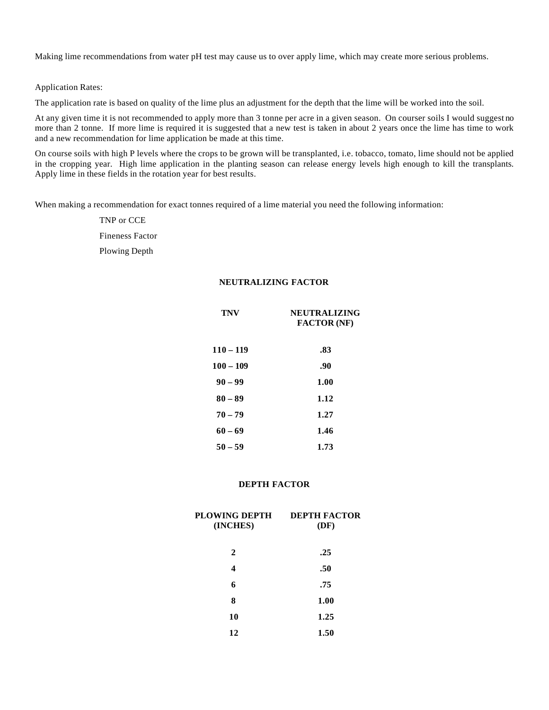Making lime recommendations from water pH test may cause us to over apply lime, which may create more serious problems.

Application Rates:

The application rate is based on quality of the lime plus an adjustment for the depth that the lime will be worked into the soil.

At any given time it is not recommended to apply more than 3 tonne per acre in a given season. On courser soils I would suggest no more than 2 tonne. If more lime is required it is suggested that a new test is taken in about 2 years once the lime has time to work and a new recommendation for lime application be made at this time.

On course soils with high P levels where the crops to be grown will be transplanted, i.e. tobacco, tomato, lime should not be applied in the cropping year. High lime application in the planting season can release energy levels high enough to kill the transplants. Apply lime in these fields in the rotation year for best results.

When making a recommendation for exact tonnes required of a lime material you need the following information:

TNP or CCE Fineness Factor Plowing Depth

#### **NEUTRALIZING FACTOR**

| <b>TNV</b>  | <b>NEUTRALIZING</b><br><b>FACTOR</b> (NF) |  |  |
|-------------|-------------------------------------------|--|--|
| $110 - 119$ | .83                                       |  |  |
| $100 - 109$ | .90                                       |  |  |
| $90 - 99$   | 1.00                                      |  |  |
| $80 - 89$   | 1.12                                      |  |  |
| $70 - 79$   | 1.27                                      |  |  |
| $60 - 69$   | 1.46                                      |  |  |
| $50 - 59$   | 1.73                                      |  |  |

#### **DEPTH FACTOR**

| PLOWING DEPTH<br>(INCHES) | <b>DEPTH FACTOR</b><br>(DF) |
|---------------------------|-----------------------------|
| 2                         | .25                         |
| 4                         | .50                         |
| 6                         | .75                         |
| 8                         | 1.00                        |
| 10                        | 1.25                        |
| 12                        | 1.50                        |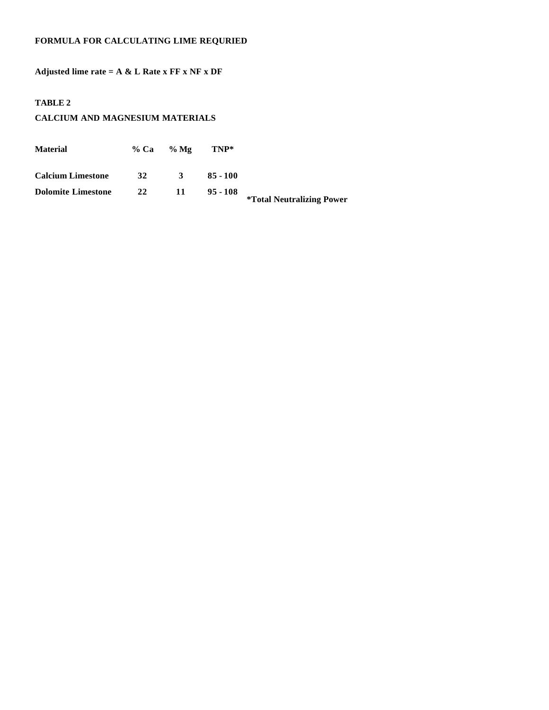#### **FORMULA FOR CALCULATING LIME REQURIED**

**Adjusted lime rate = A & L Rate x FF x NF x DF**

#### **TABLE 2**

#### **CALCIUM AND MAGNESIUM MATERIALS**

| <b>Material</b>           |    | $\%$ Ca $\%$ Mg | TNP*       |                                         |
|---------------------------|----|-----------------|------------|-----------------------------------------|
| <b>Calcium Limestone</b>  | 32 | 3               | $85 - 100$ |                                         |
| <b>Dolomite Limestone</b> | 22 | 11              | $95 - 108$ | <i><b>*Total Neutralizing Power</b></i> |